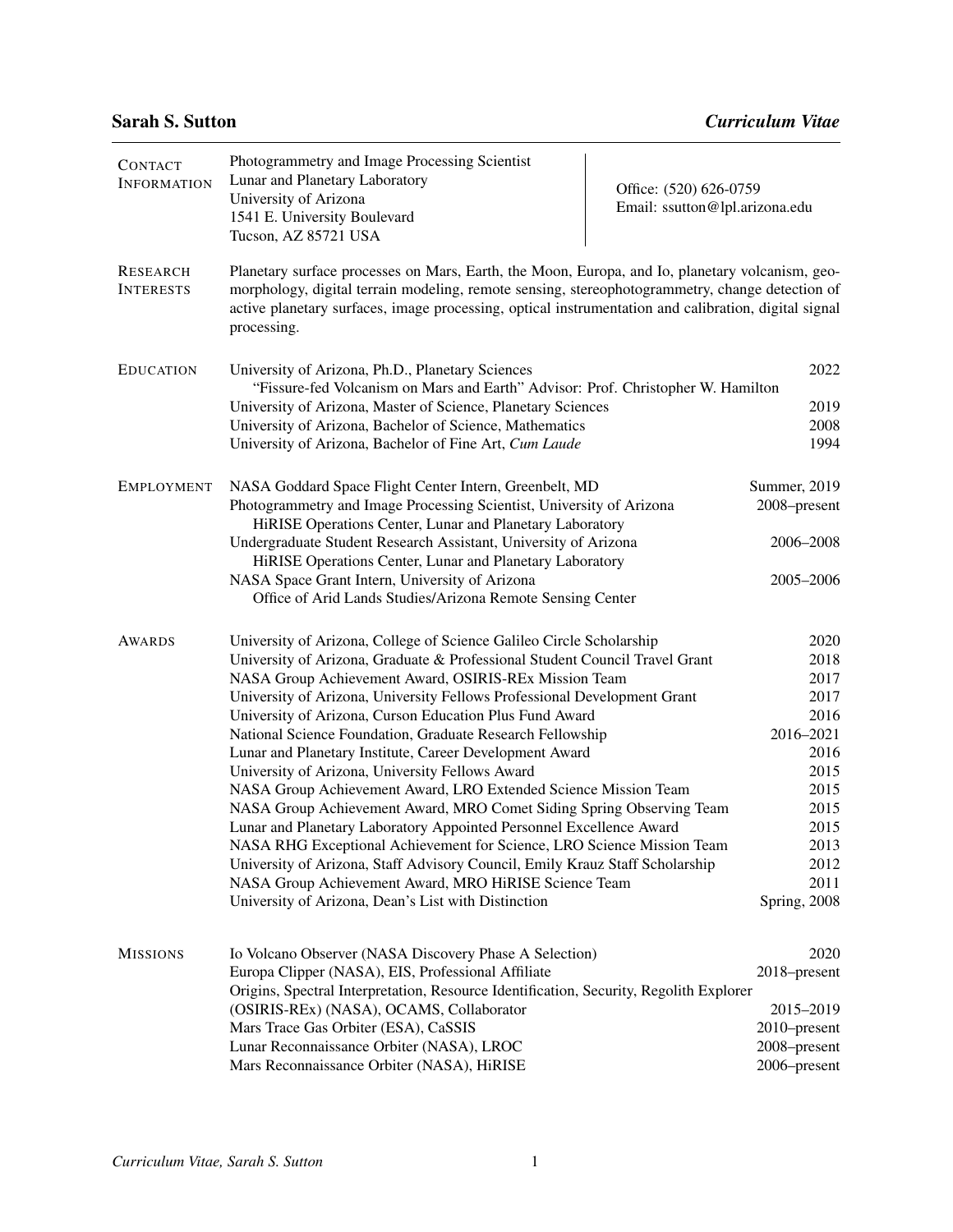| <b>CONTACT</b><br><b>INFORMATION</b> | Photogrammetry and Image Processing Scientist<br>Lunar and Planetary Laboratory<br>University of Arizona<br>1541 E. University Boulevard<br>Tucson, AZ 85721 USA                                                                                                                                                                                                                                                                                                                                                                                                                                                                                                                                                                                                                                                                                                                                                                                                                                                           | Office: (520) 626-0759<br>Email: ssutton@lpl.arizona.edu |                                                                                                                                           |
|--------------------------------------|----------------------------------------------------------------------------------------------------------------------------------------------------------------------------------------------------------------------------------------------------------------------------------------------------------------------------------------------------------------------------------------------------------------------------------------------------------------------------------------------------------------------------------------------------------------------------------------------------------------------------------------------------------------------------------------------------------------------------------------------------------------------------------------------------------------------------------------------------------------------------------------------------------------------------------------------------------------------------------------------------------------------------|----------------------------------------------------------|-------------------------------------------------------------------------------------------------------------------------------------------|
| <b>RESEARCH</b><br><b>INTERESTS</b>  | Planetary surface processes on Mars, Earth, the Moon, Europa, and Io, planetary volcanism, geo-<br>morphology, digital terrain modeling, remote sensing, stereophotogrammetry, change detection of<br>active planetary surfaces, image processing, optical instrumentation and calibration, digital signal<br>processing.                                                                                                                                                                                                                                                                                                                                                                                                                                                                                                                                                                                                                                                                                                  |                                                          |                                                                                                                                           |
| <b>EDUCATION</b>                     | University of Arizona, Ph.D., Planetary Sciences<br>"Fissure-fed Volcanism on Mars and Earth" Advisor: Prof. Christopher W. Hamilton<br>University of Arizona, Master of Science, Planetary Sciences<br>University of Arizona, Bachelor of Science, Mathematics<br>University of Arizona, Bachelor of Fine Art, Cum Laude                                                                                                                                                                                                                                                                                                                                                                                                                                                                                                                                                                                                                                                                                                  |                                                          | 2022<br>2019<br>2008<br>1994                                                                                                              |
| <b>EMPLOYMENT</b>                    | NASA Goddard Space Flight Center Intern, Greenbelt, MD<br>Photogrammetry and Image Processing Scientist, University of Arizona<br>HiRISE Operations Center, Lunar and Planetary Laboratory<br>Undergraduate Student Research Assistant, University of Arizona<br>HiRISE Operations Center, Lunar and Planetary Laboratory<br>NASA Space Grant Intern, University of Arizona<br>Office of Arid Lands Studies/Arizona Remote Sensing Center                                                                                                                                                                                                                                                                                                                                                                                                                                                                                                                                                                                  |                                                          | Summer, 2019<br>2008-present<br>2006-2008<br>2005-2006                                                                                    |
| <b>AWARDS</b>                        | University of Arizona, College of Science Galileo Circle Scholarship<br>University of Arizona, Graduate & Professional Student Council Travel Grant<br>NASA Group Achievement Award, OSIRIS-REx Mission Team<br>University of Arizona, University Fellows Professional Development Grant<br>University of Arizona, Curson Education Plus Fund Award<br>National Science Foundation, Graduate Research Fellowship<br>Lunar and Planetary Institute, Career Development Award<br>University of Arizona, University Fellows Award<br>NASA Group Achievement Award, LRO Extended Science Mission Team<br>NASA Group Achievement Award, MRO Comet Siding Spring Observing Team<br>Lunar and Planetary Laboratory Appointed Personnel Excellence Award<br>NASA RHG Exceptional Achievement for Science, LRO Science Mission Team<br>University of Arizona, Staff Advisory Council, Emily Krauz Staff Scholarship<br>NASA Group Achievement Award, MRO HiRISE Science Team<br>University of Arizona, Dean's List with Distinction |                                                          | 2020<br>2018<br>2017<br>2017<br>2016<br>2016-2021<br>2016<br>2015<br>2015<br>2015<br>2015<br>2013<br>2012<br>2011<br><b>Spring</b> , 2008 |
| <b>MISSIONS</b>                      | Io Volcano Observer (NASA Discovery Phase A Selection)<br>Europa Clipper (NASA), EIS, Professional Affiliate<br>Origins, Spectral Interpretation, Resource Identification, Security, Regolith Explorer<br>(OSIRIS-REx) (NASA), OCAMS, Collaborator<br>Mars Trace Gas Orbiter (ESA), CaSSIS<br>Lunar Reconnaissance Orbiter (NASA), LROC<br>Mars Reconnaissance Orbiter (NASA), HiRISE                                                                                                                                                                                                                                                                                                                                                                                                                                                                                                                                                                                                                                      |                                                          | 2020<br>2018-present<br>2015-2019<br>2010-present<br>2008-present<br>2006-present                                                         |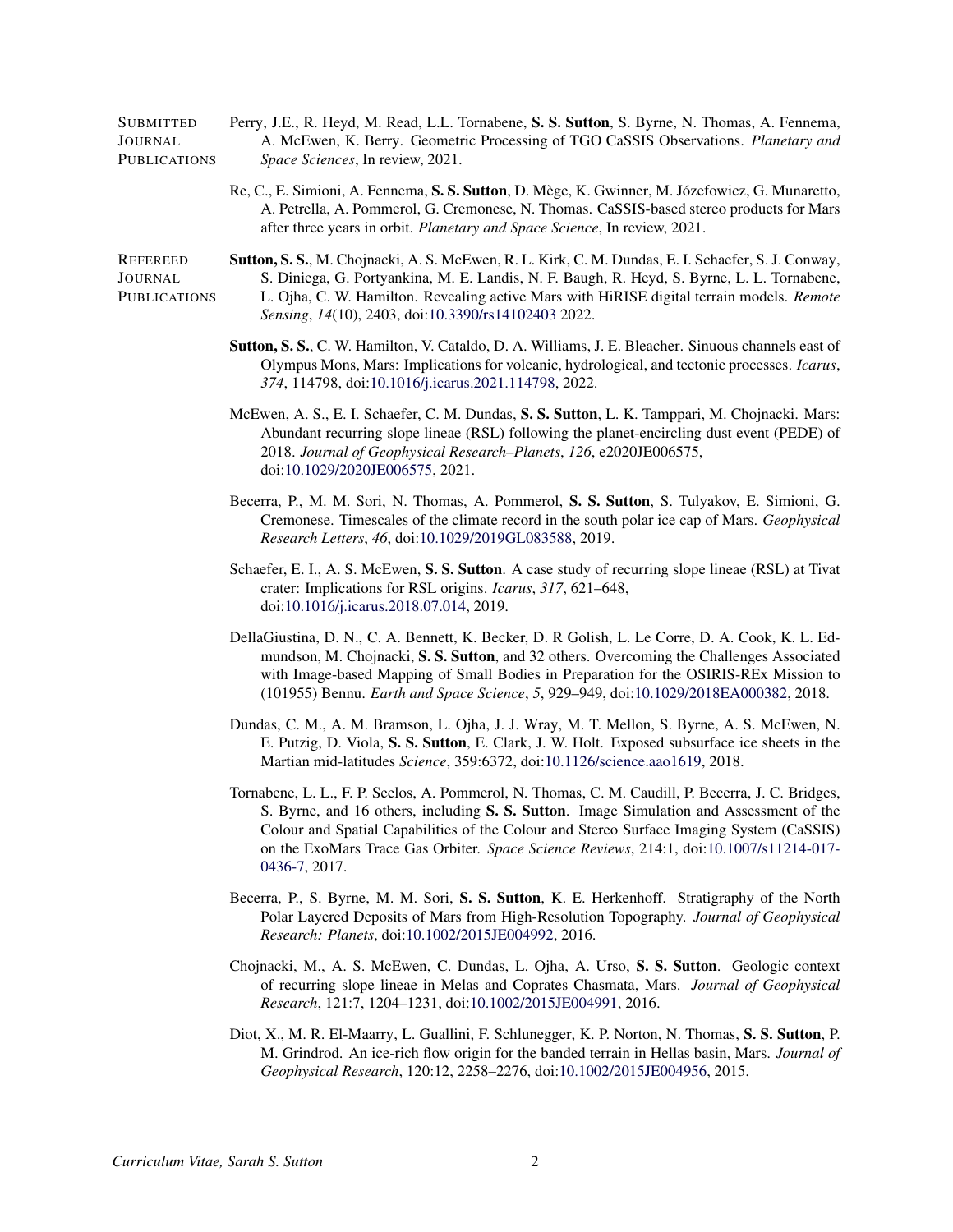| SUBMITTED    | Perry, J.E., R. Heyd, M. Read, L.L. Tornabene, S. S. Sutton, S. Byrne, N. Thomas, A. Fennema, |
|--------------|-----------------------------------------------------------------------------------------------|
| JOURNAL      | A. McEwen, K. Berry. Geometric Processing of TGO CaSSIS Observations. Planetary and           |
| PUBLICATIONS | <i>Space Sciences, In review, 2021.</i>                                                       |

Re, C., E. Simioni, A. Fennema, S. S. Sutton, D. Mège, K. Gwinner, M. Józefowicz, G. Munaretto, A. Petrella, A. Pommerol, G. Cremonese, N. Thomas. CaSSIS-based stereo products for Mars after three years in orbit. *Planetary and Space Science*, In review, 2021.

REFEREED JOURNAL PUBLICATIONS Sutton, S. S., M. Chojnacki, A. S. McEwen, R. L. Kirk, C. M. Dundas, E. I. Schaefer, S. J. Conway, S. Diniega, G. Portyankina, M. E. Landis, N. F. Baugh, R. Heyd, S. Byrne, L. L. Tornabene, L. Ojha, C. W. Hamilton. Revealing active Mars with HiRISE digital terrain models. *Remote Sensing*, *14*(10), 2403, doi[:10.3390/rs14102403](http://dx.doi.org/10.3390/rs14102403) 2022.

- Sutton, S. S., C. W. Hamilton, V. Cataldo, D. A. Williams, J. E. Bleacher. Sinuous channels east of Olympus Mons, Mars: Implications for volcanic, hydrological, and tectonic processes. *Icarus*, *374*, 114798, doi[:10.1016/j.icarus.2021.114798,](http://dx.doi.org/10.1016/j.icarus.2021.114798) 2022.
- McEwen, A. S., E. I. Schaefer, C. M. Dundas, S. S. Sutton, L. K. Tamppari, M. Chojnacki. Mars: Abundant recurring slope lineae (RSL) following the planet-encircling dust event (PEDE) of 2018. *Journal of Geophysical Research–Planets*, *126*, e2020JE006575, doi[:10.1029/2020JE006575,](http://dx.doi.org/10.1029/2020JE006575) 2021.
- Becerra, P., M. M. Sori, N. Thomas, A. Pommerol, S. S. Sutton, S. Tulyakov, E. Simioni, G. Cremonese. Timescales of the climate record in the south polar ice cap of Mars. *Geophysical Research Letters*, *46*, doi[:10.1029/2019GL083588,](http://dx.doi.org/10.1029/2019GL083588) 2019.
- Schaefer, E. I., A. S. McEwen, S. S. Sutton. A case study of recurring slope lineae (RSL) at Tivat crater: Implications for RSL origins. *Icarus*, *317*, 621–648, doi[:10.1016/j.icarus.2018.07.014,](http://dx.doi.org/10.1016/j.icarus.2018.07.014) 2019.
- DellaGiustina, D. N., C. A. Bennett, K. Becker, D. R Golish, L. Le Corre, D. A. Cook, K. L. Edmundson, M. Chojnacki, S. S. Sutton, and 32 others. Overcoming the Challenges Associated with Image-based Mapping of Small Bodies in Preparation for the OSIRIS-REx Mission to (101955) Bennu. *Earth and Space Science*, *5*, 929–949, doi[:10.1029/2018EA000382,](http://dx.doi.org/10.1029/2018EA000382) 2018.
- Dundas, C. M., A. M. Bramson, L. Ojha, J. J. Wray, M. T. Mellon, S. Byrne, A. S. McEwen, N. E. Putzig, D. Viola, S. S. Sutton, E. Clark, J. W. Holt. Exposed subsurface ice sheets in the Martian mid-latitudes *Science*, 359:6372, doi[:10.1126/science.aao1619,](http://dx.doi.org/10.1126/science.aao1619) 2018.
- Tornabene, L. L., F. P. Seelos, A. Pommerol, N. Thomas, C. M. Caudill, P. Becerra, J. C. Bridges, S. Byrne, and 16 others, including S. S. Sutton. Image Simulation and Assessment of the Colour and Spatial Capabilities of the Colour and Stereo Surface Imaging System (CaSSIS) on the ExoMars Trace Gas Orbiter. *Space Science Reviews*, 214:1, doi[:10.1007/s11214-017-](http://dx.doi.org/10.1007/s11214-017-0436-7) [0436-7,](http://dx.doi.org/10.1007/s11214-017-0436-7) 2017.
- Becerra, P., S. Byrne, M. M. Sori, S. S. Sutton, K. E. Herkenhoff. Stratigraphy of the North Polar Layered Deposits of Mars from High-Resolution Topography. *Journal of Geophysical Research: Planets*, doi[:10.1002/2015JE004992,](http://dx.doi.org/10.1002/2015JE004992) 2016.
- Chojnacki, M., A. S. McEwen, C. Dundas, L. Ojha, A. Urso, S. S. Sutton. Geologic context of recurring slope lineae in Melas and Coprates Chasmata, Mars. *Journal of Geophysical Research*, 121:7, 1204–1231, doi[:10.1002/2015JE004991,](http://dx.doi.org/10.1002/2015JE004991) 2016.
- Diot, X., M. R. El-Maarry, L. Guallini, F. Schlunegger, K. P. Norton, N. Thomas, S. S. Sutton, P. M. Grindrod. An ice-rich flow origin for the banded terrain in Hellas basin, Mars. *Journal of Geophysical Research*, 120:12, 2258–2276, doi[:10.1002/2015JE004956,](http://dx.doi.org/10.1002/2015JE004956) 2015.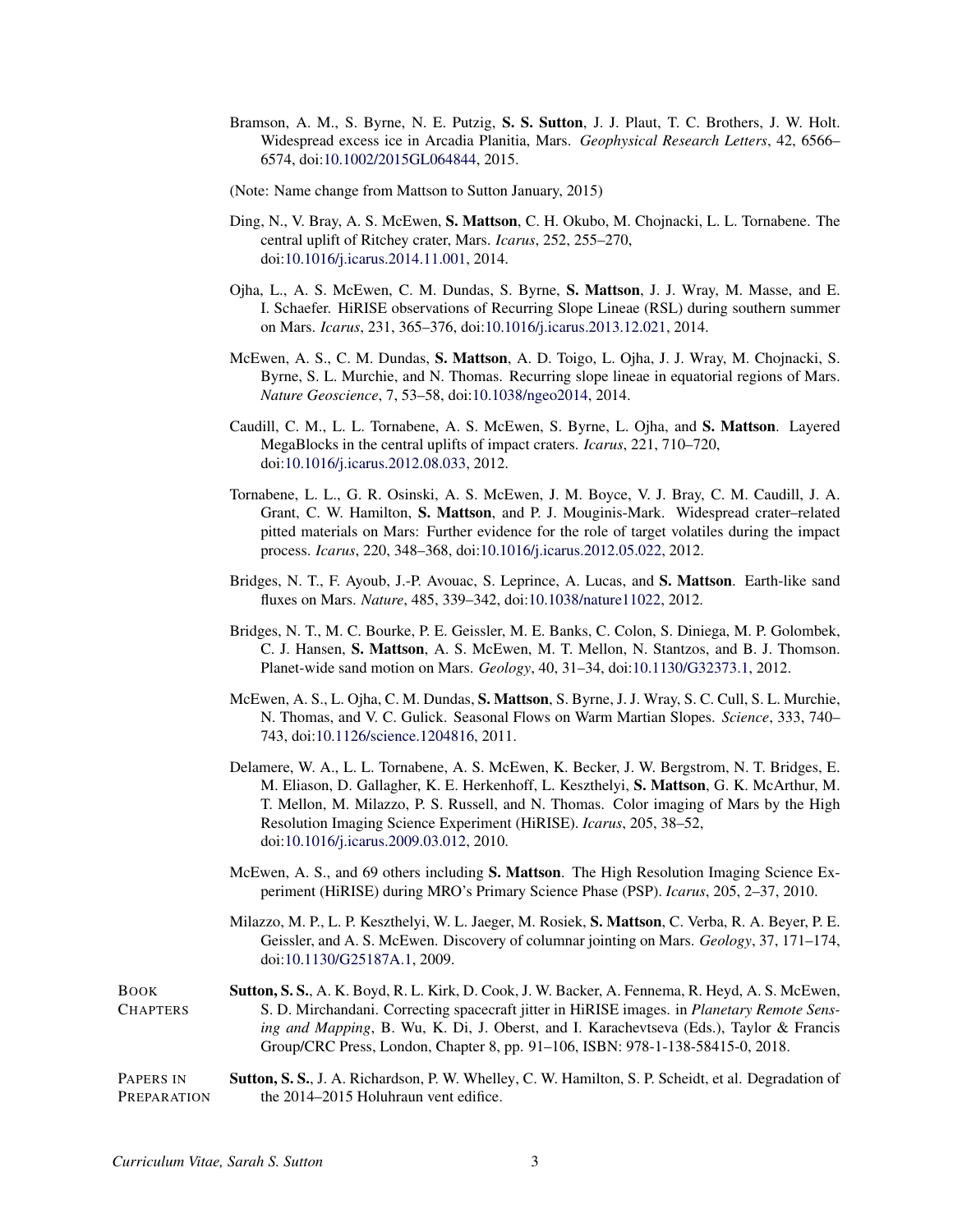- Bramson, A. M., S. Byrne, N. E. Putzig, S. S. Sutton, J. J. Plaut, T. C. Brothers, J. W. Holt. Widespread excess ice in Arcadia Planitia, Mars. *Geophysical Research Letters*, 42, 6566– 6574, doi[:10.1002/2015GL064844,](http://dx.doi.org/10.1002/2015GL064844) 2015.
- (Note: Name change from Mattson to Sutton January, 2015)
- Ding, N., V. Bray, A. S. McEwen, S. Mattson, C. H. Okubo, M. Chojnacki, L. L. Tornabene. The central uplift of Ritchey crater, Mars. *Icarus*, 252, 255–270, doi[:10.1016/j.icarus.2014.11.001,](http://dx.doi.org/10.1016/j.icarus.2014.11.001) 2014.
- Ojha, L., A. S. McEwen, C. M. Dundas, S. Byrne, S. Mattson, J. J. Wray, M. Masse, and E. I. Schaefer. HiRISE observations of Recurring Slope Lineae (RSL) during southern summer on Mars. *Icarus*, 231, 365–376, doi[:10.1016/j.icarus.2013.12.021,](http://dx.doi.org/10.1016/j.icarus.2013.12.021) 2014.
- McEwen, A. S., C. M. Dundas, S. Mattson, A. D. Toigo, L. Ojha, J. J. Wray, M. Chojnacki, S. Byrne, S. L. Murchie, and N. Thomas. Recurring slope lineae in equatorial regions of Mars. *Nature Geoscience*, 7, 53–58, doi[:10.1038/ngeo2014,](http://dx.doi.org/10.1038/ngeo2014) 2014.
- Caudill, C. M., L. L. Tornabene, A. S. McEwen, S. Byrne, L. Ojha, and S. Mattson. Layered MegaBlocks in the central uplifts of impact craters. *Icarus*, 221, 710–720, doi[:10.1016/j.icarus.2012.08.033,](http://dx.doi.org/10.1016/j.icarus.2012.08.033) 2012.
- Tornabene, L. L., G. R. Osinski, A. S. McEwen, J. M. Boyce, V. J. Bray, C. M. Caudill, J. A. Grant, C. W. Hamilton, S. Mattson, and P. J. Mouginis-Mark. Widespread crater–related pitted materials on Mars: Further evidence for the role of target volatiles during the impact process. *Icarus*, 220, 348–368, doi[:10.1016/j.icarus.2012.05.022,](http://dx.doi.org/10.1016/j.icarus.2012.05.022) 2012.
- Bridges, N. T., F. Ayoub, J.-P. Avouac, S. Leprince, A. Lucas, and S. Mattson. Earth-like sand fluxes on Mars. *Nature*, 485, 339–342, doi[:10.1038/nature11022,](http://dx.doi.org/10.1038/nature11022) 2012.
- Bridges, N. T., M. C. Bourke, P. E. Geissler, M. E. Banks, C. Colon, S. Diniega, M. P. Golombek, C. J. Hansen, S. Mattson, A. S. McEwen, M. T. Mellon, N. Stantzos, and B. J. Thomson. Planet-wide sand motion on Mars. *Geology*, 40, 31–34, doi[:10.1130/G32373.1,](http://dx.doi.org/10.1130/G32373.1) 2012.
- McEwen, A. S., L. Ojha, C. M. Dundas, S. Mattson, S. Byrne, J. J. Wray, S. C. Cull, S. L. Murchie, N. Thomas, and V. C. Gulick. Seasonal Flows on Warm Martian Slopes. *Science*, 333, 740– 743, doi[:10.1126/science.1204816,](http://dx.doi.org/10.1126/science.1204816) 2011.
- Delamere, W. A., L. L. Tornabene, A. S. McEwen, K. Becker, J. W. Bergstrom, N. T. Bridges, E. M. Eliason, D. Gallagher, K. E. Herkenhoff, L. Keszthelyi, S. Mattson, G. K. McArthur, M. T. Mellon, M. Milazzo, P. S. Russell, and N. Thomas. Color imaging of Mars by the High Resolution Imaging Science Experiment (HiRISE). *Icarus*, 205, 38–52, doi[:10.1016/j.icarus.2009.03.012,](http://dx.doi.org/10.1016/j.icarus.2009.03.012) 2010.
- McEwen, A. S., and 69 others including S. Mattson. The High Resolution Imaging Science Experiment (HiRISE) during MRO's Primary Science Phase (PSP). *Icarus*, 205, 2–37, 2010.
- Milazzo, M. P., L. P. Keszthelyi, W. L. Jaeger, M. Rosiek, S. Mattson, C. Verba, R. A. Beyer, P. E. Geissler, and A. S. McEwen. Discovery of columnar jointing on Mars. *Geology*, 37, 171–174, doi[:10.1130/G25187A.1,](http://dx.doi.org/10.1130/G25187A.1) 2009.
- BOOK **CHAPTERS** Sutton, S. S., A. K. Boyd, R. L. Kirk, D. Cook, J. W. Backer, A. Fennema, R. Heyd, A. S. McEwen, S. D. Mirchandani. Correcting spacecraft jitter in HiRISE images. in *Planetary Remote Sensing and Mapping*, B. Wu, K. Di, J. Oberst, and I. Karachevtseva (Eds.), Taylor & Francis Group/CRC Press, London, Chapter 8, pp. 91–106, ISBN: 978-1-138-58415-0, 2018.
- PAPERS IN PREPARATION Sutton, S. S., J. A. Richardson, P. W. Whelley, C. W. Hamilton, S. P. Scheidt, et al. Degradation of the 2014–2015 Holuhraun vent edifice.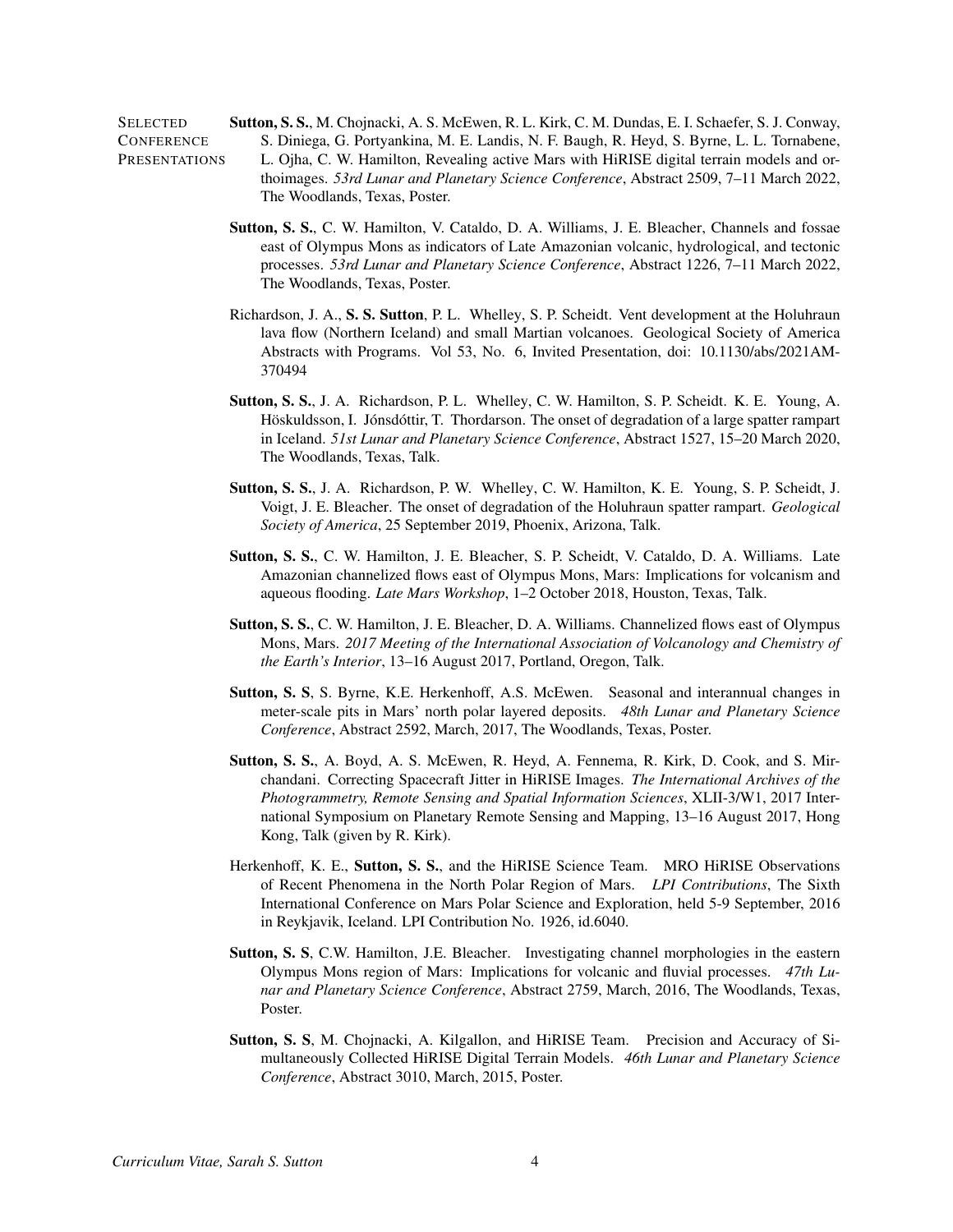**SELECTED CONFERENCE PRESENTATIONS** Sutton, S. S., M. Chojnacki, A. S. McEwen, R. L. Kirk, C. M. Dundas, E. I. Schaefer, S. J. Conway, S. Diniega, G. Portyankina, M. E. Landis, N. F. Baugh, R. Heyd, S. Byrne, L. L. Tornabene, L. Ojha, C. W. Hamilton, Revealing active Mars with HiRISE digital terrain models and orthoimages. *53rd Lunar and Planetary Science Conference*, Abstract 2509, 7–11 March 2022, The Woodlands, Texas, Poster.

- Sutton, S. S., C. W. Hamilton, V. Cataldo, D. A. Williams, J. E. Bleacher, Channels and fossae east of Olympus Mons as indicators of Late Amazonian volcanic, hydrological, and tectonic processes. *53rd Lunar and Planetary Science Conference*, Abstract 1226, 7–11 March 2022, The Woodlands, Texas, Poster.
- Richardson, J. A., S. S. Sutton, P. L. Whelley, S. P. Scheidt. Vent development at the Holuhraun lava flow (Northern Iceland) and small Martian volcanoes. Geological Society of America Abstracts with Programs. Vol 53, No. 6, Invited Presentation, doi: 10.1130/abs/2021AM-370494
- Sutton, S. S., J. A. Richardson, P. L. Whelley, C. W. Hamilton, S. P. Scheidt. K. E. Young, A. Höskuldsson, I. Jónsdóttir, T. Thordarson. The onset of degradation of a large spatter rampart in Iceland. *51st Lunar and Planetary Science Conference*, Abstract 1527, 15–20 March 2020, The Woodlands, Texas, Talk.
- Sutton, S. S., J. A. Richardson, P. W. Whelley, C. W. Hamilton, K. E. Young, S. P. Scheidt, J. Voigt, J. E. Bleacher. The onset of degradation of the Holuhraun spatter rampart. *Geological Society of America*, 25 September 2019, Phoenix, Arizona, Talk.
- Sutton, S. S., C. W. Hamilton, J. E. Bleacher, S. P. Scheidt, V. Cataldo, D. A. Williams. Late Amazonian channelized flows east of Olympus Mons, Mars: Implications for volcanism and aqueous flooding. *Late Mars Workshop*, 1–2 October 2018, Houston, Texas, Talk.
- Sutton, S. S., C. W. Hamilton, J. E. Bleacher, D. A. Williams. Channelized flows east of Olympus Mons, Mars. *2017 Meeting of the International Association of Volcanology and Chemistry of the Earth's Interior*, 13–16 August 2017, Portland, Oregon, Talk.
- Sutton, S. S, S. Byrne, K.E. Herkenhoff, A.S. McEwen. Seasonal and interannual changes in meter-scale pits in Mars' north polar layered deposits. *48th Lunar and Planetary Science Conference*, Abstract 2592, March, 2017, The Woodlands, Texas, Poster.
- Sutton, S. S., A. Boyd, A. S. McEwen, R. Heyd, A. Fennema, R. Kirk, D. Cook, and S. Mirchandani. Correcting Spacecraft Jitter in HiRISE Images. *The International Archives of the Photogrammetry, Remote Sensing and Spatial Information Sciences*, XLII-3/W1, 2017 International Symposium on Planetary Remote Sensing and Mapping, 13–16 August 2017, Hong Kong, Talk (given by R. Kirk).
- Herkenhoff, K. E., Sutton, S. S., and the HiRISE Science Team. MRO HiRISE Observations of Recent Phenomena in the North Polar Region of Mars. *LPI Contributions*, The Sixth International Conference on Mars Polar Science and Exploration, held 5-9 September, 2016 in Reykjavik, Iceland. LPI Contribution No. 1926, id.6040.
- Sutton, S. S, C.W. Hamilton, J.E. Bleacher. Investigating channel morphologies in the eastern Olympus Mons region of Mars: Implications for volcanic and fluvial processes. *47th Lunar and Planetary Science Conference*, Abstract 2759, March, 2016, The Woodlands, Texas, Poster.
- Sutton, S. S, M. Chojnacki, A. Kilgallon, and HiRISE Team. Precision and Accuracy of Simultaneously Collected HiRISE Digital Terrain Models. *46th Lunar and Planetary Science Conference*, Abstract 3010, March, 2015, Poster.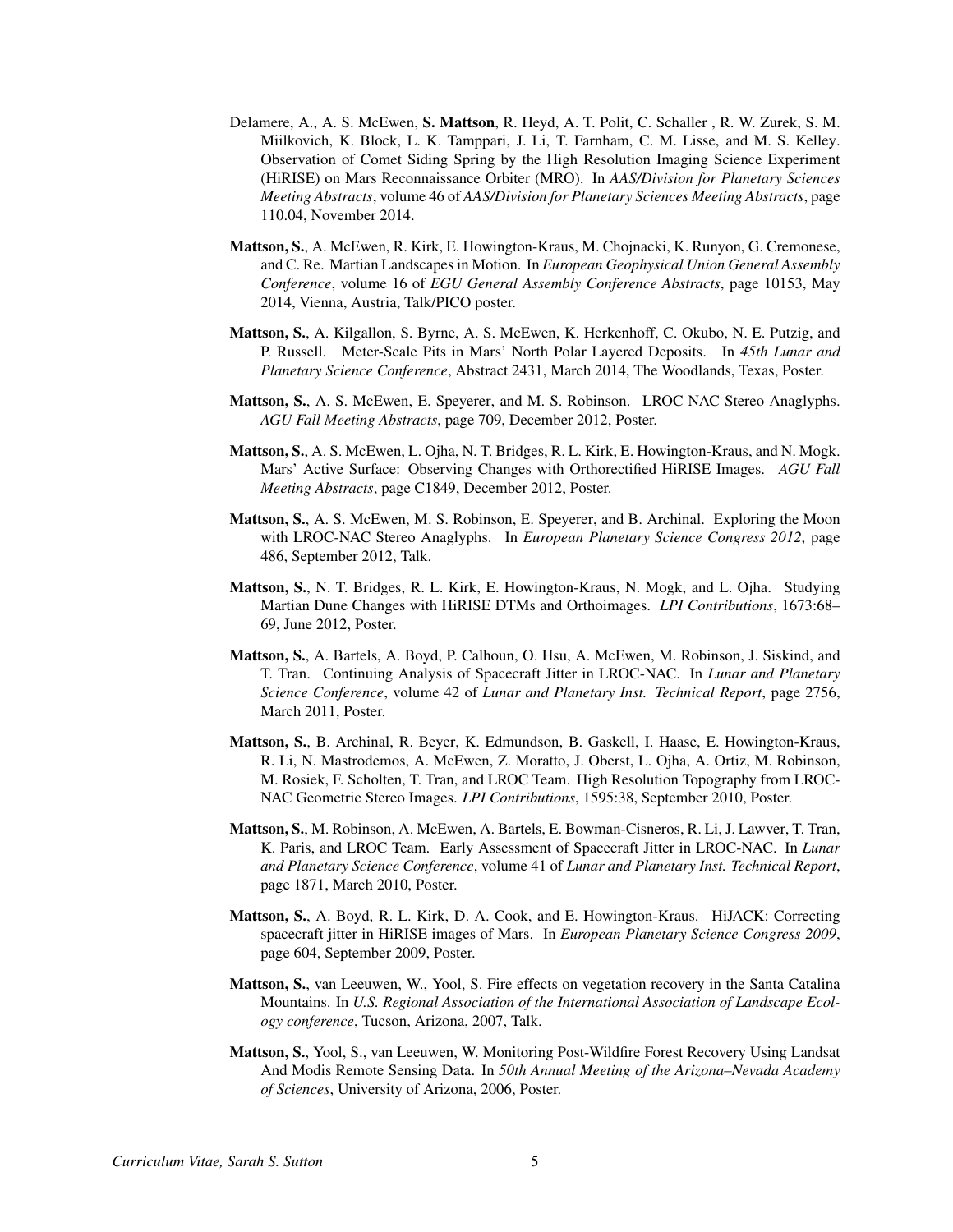- Delamere, A., A. S. McEwen, S. Mattson, R. Heyd, A. T. Polit, C. Schaller , R. W. Zurek, S. M. Miilkovich, K. Block, L. K. Tamppari, J. Li, T. Farnham, C. M. Lisse, and M. S. Kelley. Observation of Comet Siding Spring by the High Resolution Imaging Science Experiment (HiRISE) on Mars Reconnaissance Orbiter (MRO). In *AAS/Division for Planetary Sciences Meeting Abstracts*, volume 46 of *AAS/Division for Planetary Sciences Meeting Abstracts*, page 110.04, November 2014.
- Mattson, S., A. McEwen, R. Kirk, E. Howington-Kraus, M. Chojnacki, K. Runyon, G. Cremonese, and C. Re. Martian Landscapes in Motion. In *European Geophysical Union General Assembly Conference*, volume 16 of *EGU General Assembly Conference Abstracts*, page 10153, May 2014, Vienna, Austria, Talk/PICO poster.
- Mattson, S., A. Kilgallon, S. Byrne, A. S. McEwen, K. Herkenhoff, C. Okubo, N. E. Putzig, and P. Russell. Meter-Scale Pits in Mars' North Polar Layered Deposits. In *45th Lunar and Planetary Science Conference*, Abstract 2431, March 2014, The Woodlands, Texas, Poster.
- Mattson, S., A. S. McEwen, E. Speyerer, and M. S. Robinson. LROC NAC Stereo Anaglyphs. *AGU Fall Meeting Abstracts*, page 709, December 2012, Poster.
- Mattson, S., A. S. McEwen, L. Ojha, N. T. Bridges, R. L. Kirk, E. Howington-Kraus, and N. Mogk. Mars' Active Surface: Observing Changes with Orthorectified HiRISE Images. *AGU Fall Meeting Abstracts*, page C1849, December 2012, Poster.
- Mattson, S., A. S. McEwen, M. S. Robinson, E. Speyerer, and B. Archinal. Exploring the Moon with LROC-NAC Stereo Anaglyphs. In *European Planetary Science Congress 2012*, page 486, September 2012, Talk.
- Mattson, S., N. T. Bridges, R. L. Kirk, E. Howington-Kraus, N. Mogk, and L. Ojha. Studying Martian Dune Changes with HiRISE DTMs and Orthoimages. *LPI Contributions*, 1673:68– 69, June 2012, Poster.
- Mattson, S., A. Bartels, A. Boyd, P. Calhoun, O. Hsu, A. McEwen, M. Robinson, J. Siskind, and T. Tran. Continuing Analysis of Spacecraft Jitter in LROC-NAC. In *Lunar and Planetary Science Conference*, volume 42 of *Lunar and Planetary Inst. Technical Report*, page 2756, March 2011, Poster.
- Mattson, S., B. Archinal, R. Beyer, K. Edmundson, B. Gaskell, I. Haase, E. Howington-Kraus, R. Li, N. Mastrodemos, A. McEwen, Z. Moratto, J. Oberst, L. Ojha, A. Ortiz, M. Robinson, M. Rosiek, F. Scholten, T. Tran, and LROC Team. High Resolution Topography from LROC-NAC Geometric Stereo Images. *LPI Contributions*, 1595:38, September 2010, Poster.
- Mattson, S., M. Robinson, A. McEwen, A. Bartels, E. Bowman-Cisneros, R. Li, J. Lawver, T. Tran, K. Paris, and LROC Team. Early Assessment of Spacecraft Jitter in LROC-NAC. In *Lunar and Planetary Science Conference*, volume 41 of *Lunar and Planetary Inst. Technical Report*, page 1871, March 2010, Poster.
- Mattson, S., A. Boyd, R. L. Kirk, D. A. Cook, and E. Howington-Kraus. HiJACK: Correcting spacecraft jitter in HiRISE images of Mars. In *European Planetary Science Congress 2009*, page 604, September 2009, Poster.
- Mattson, S., van Leeuwen, W., Yool, S. Fire effects on vegetation recovery in the Santa Catalina Mountains. In *U.S. Regional Association of the International Association of Landscape Ecology conference*, Tucson, Arizona, 2007, Talk.
- Mattson, S., Yool, S., van Leeuwen, W. Monitoring Post-Wildfire Forest Recovery Using Landsat And Modis Remote Sensing Data. In *50th Annual Meeting of the Arizona–Nevada Academy of Sciences*, University of Arizona, 2006, Poster.